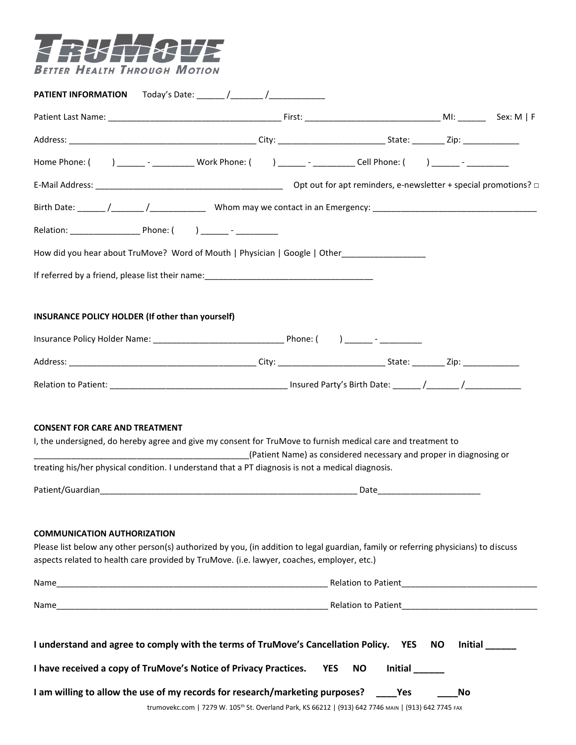

| Home Phone: ( ) _______ - ______________Work Phone: ( ) _______ - _____________Cell Phone: ( ) _______ - __________                                                                                                                                                                                                              |                          |    |                |  |  |  |  |
|----------------------------------------------------------------------------------------------------------------------------------------------------------------------------------------------------------------------------------------------------------------------------------------------------------------------------------|--------------------------|----|----------------|--|--|--|--|
|                                                                                                                                                                                                                                                                                                                                  |                          |    |                |  |  |  |  |
|                                                                                                                                                                                                                                                                                                                                  |                          |    |                |  |  |  |  |
|                                                                                                                                                                                                                                                                                                                                  |                          |    |                |  |  |  |  |
| How did you hear about TruMove? Word of Mouth   Physician   Google   Other__________________________                                                                                                                                                                                                                             |                          |    |                |  |  |  |  |
|                                                                                                                                                                                                                                                                                                                                  |                          |    |                |  |  |  |  |
|                                                                                                                                                                                                                                                                                                                                  |                          |    |                |  |  |  |  |
| INSURANCE POLICY HOLDER (If other than yourself)                                                                                                                                                                                                                                                                                 |                          |    |                |  |  |  |  |
|                                                                                                                                                                                                                                                                                                                                  |                          |    |                |  |  |  |  |
|                                                                                                                                                                                                                                                                                                                                  |                          |    |                |  |  |  |  |
|                                                                                                                                                                                                                                                                                                                                  |                          |    |                |  |  |  |  |
| <b>CONSENT FOR CARE AND TREATMENT</b><br>I, the undersigned, do hereby agree and give my consent for TruMove to furnish medical care and treatment to<br>(Patient Name) as considered necessary and proper in diagnosing or<br>treating his/her physical condition. I understand that a PT diagnosis is not a medical diagnosis. |                          |    |                |  |  |  |  |
|                                                                                                                                                                                                                                                                                                                                  |                          |    |                |  |  |  |  |
|                                                                                                                                                                                                                                                                                                                                  |                          |    |                |  |  |  |  |
| <b>COMMUNICATION AUTHORIZATION</b><br>Please list below any other person(s) authorized by you, (in addition to legal guardian, family or referring physicians) to discuss<br>aspects related to health care provided by TruMove. (i.e. lawyer, coaches, employer, etc.)                                                          |                          |    |                |  |  |  |  |
|                                                                                                                                                                                                                                                                                                                                  |                          |    |                |  |  |  |  |
|                                                                                                                                                                                                                                                                                                                                  |                          |    |                |  |  |  |  |
| I understand and agree to comply with the terms of TruMove's Cancellation Policy. YES NO                                                                                                                                                                                                                                         |                          |    | Initial $\_\_$ |  |  |  |  |
| I have received a copy of TruMove's Notice of Privacy Practices.                                                                                                                                                                                                                                                                 | YES NO<br><b>Initial</b> |    |                |  |  |  |  |
| I am willing to allow the use of my records for research/marketing purposes? _____Yes                                                                                                                                                                                                                                            |                          | No |                |  |  |  |  |

trumovekc.com | 7279 W. 105<sup>th</sup> St. Overland Park, KS 66212 | (913) 642 7746 MAIN | (913) 642 7745 FAX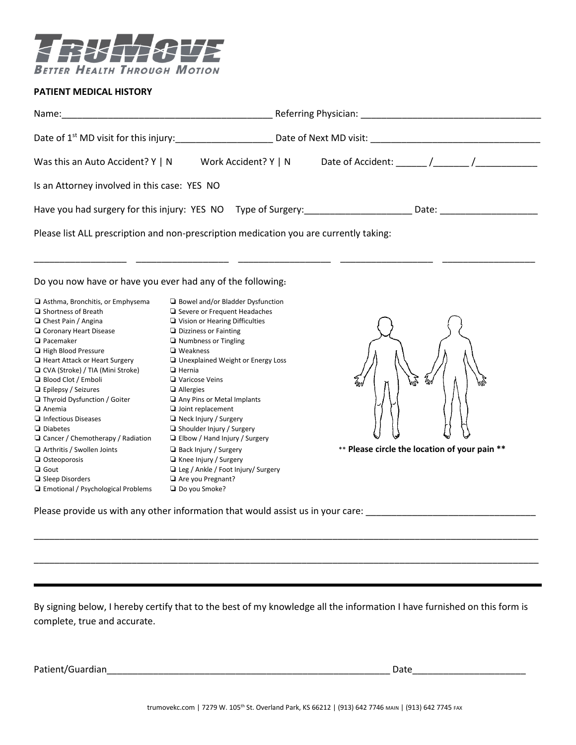

## **PATIENT MEDICAL HISTORY**

| Date of 1 <sup>st</sup> MD visit for this injury:                                      |                      |       |  |  |  |  |
|----------------------------------------------------------------------------------------|----------------------|-------|--|--|--|--|
| Was this an Auto Accident? $Y \mid N$                                                  | Work Accident? Y   N |       |  |  |  |  |
| Is an Attorney involved in this case: YES NO                                           |                      |       |  |  |  |  |
| Have you had surgery for this injury: YES NO Type of Surgery:                          |                      | Date: |  |  |  |  |
| Please list ALL prescription and non-prescription medication you are currently taking: |                      |       |  |  |  |  |
|                                                                                        |                      |       |  |  |  |  |

## Do you now have or have you ever had any of the following**:**

| $\Box$ Asthma, Bronchitis, or Emphysema   | $\Box$ Bowel and/or Bladder Dysfunction   |
|-------------------------------------------|-------------------------------------------|
| Shortness of Breath                       | $\Box$ Severe or Frequent Headaches       |
| $\Box$ Chest Pain / Angina                | Vision or Hearing Difficulties            |
| Coronary Heart Disease                    | $\Box$ Dizziness or Fainting              |
| $\Box$ Pacemaker                          | $\Box$ Numbness or Tingling               |
| High Blood Pressure                       | $\Box$ Weakness                           |
| Heart Attack or Heart Surgery             | □ Unexplained Weight or Energy Loss       |
| □ CVA (Stroke) / TIA (Mini Stroke)        | $\Box$ Hernia                             |
| Blood Clot / Emboli                       | Varicose Veins                            |
| $\Box$ Epilepsy / Seizures                | $\Box$ Allergies                          |
| □ Thyroid Dysfunction / Goiter            | $\Box$ Any Pins or Metal Implants         |
| $\Box$ Anemia                             | $\Box$ Joint replacement                  |
| $\Box$ Infectious Diseases                | $\Box$ Neck Injury / Surgery              |
| $\Box$ Diabetes                           | $\Box$ Shoulder Injury / Surgery          |
| $\Box$ Cancer / Chemotherapy / Radiation  | $\Box$ Elbow / Hand Injury / Surgery      |
| $\Box$ Arthritis / Swollen Joints         | $\Box$ Back Injury / Surgery              |
| $\Box$ Osteoporosis                       | $\Box$ Knee Injury / Surgery              |
| $\Box$ Gout                               | $\Box$ Leg / Ankle / Foot Injury/ Surgery |
| $\Box$ Sleep Disorders                    | $\Box$ Are you Pregnant?                  |
| $\Box$ Emotional / Psychological Problems | $\Box$ Do you Smoke?                      |
|                                           |                                           |

z ź.,

❏ Arthritis / Swollen Joints ❏ Back Injury / Surgery \*\* **Please circle the location of your pain \*\***

Please provide us with any other information that would assist us in your care: \_\_\_\_\_\_\_\_\_\_\_\_\_\_\_\_\_\_\_\_\_\_\_\_\_\_\_\_\_\_

By signing below, I hereby certify that to the best of my knowledge all the information I have furnished on this form is complete, true and accurate.

\_\_\_\_\_\_\_\_\_\_\_\_\_\_\_\_\_\_\_\_\_\_\_\_\_\_\_\_\_\_\_\_\_\_\_\_\_\_\_\_\_\_\_\_\_\_\_\_\_\_\_\_\_\_\_\_\_\_\_\_\_\_\_\_\_\_\_\_\_\_\_\_\_\_\_\_\_\_\_\_\_\_\_\_\_\_\_\_\_\_\_\_\_\_\_\_\_\_

\_\_\_\_\_\_\_\_\_\_\_\_\_\_\_\_\_\_\_\_\_\_\_\_\_\_\_\_\_\_\_\_\_\_\_\_\_\_\_\_\_\_\_\_\_\_\_\_\_\_\_\_\_\_\_\_\_\_\_\_\_\_\_\_\_\_\_\_\_\_\_\_\_\_\_\_\_\_\_\_\_\_\_\_\_\_\_\_\_\_\_\_\_\_\_\_\_\_

Patient/Guardian\_\_\_\_\_\_\_\_\_\_\_\_\_\_\_\_\_\_\_\_\_\_\_\_\_\_\_\_\_\_\_\_\_\_\_\_\_\_\_\_\_\_\_\_\_\_\_\_\_\_\_\_\_\_\_ Date\_\_\_\_\_\_\_\_\_\_\_\_\_\_\_\_\_\_\_\_\_\_